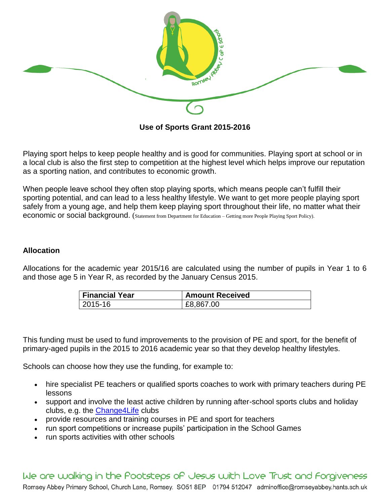

# **Use of Sports Grant 2015-2016**

Playing sport helps to keep people healthy and is good for communities. Playing sport at school or in a local club is also the first step to competition at the highest level which helps improve our reputation as a sporting nation, and contributes to economic growth.

When people leave school they often stop playing sports, which means people can't fulfill their sporting potential, and can lead to a less healthy lifestyle. We want to get more people playing sport safely from a young age, and help them keep playing sport throughout their life, no matter what their economic or social background. (Statement from Department for Education – Getting more People Playing Sport Policy).

#### **Allocation**

Allocations for the academic year 2015/16 are calculated using the number of pupils in Year 1 to 6 and those age 5 in Year R, as recorded by the January Census 2015.

| <b>Financial Year</b> | <b>Amount Received</b> |
|-----------------------|------------------------|
| $2015 - 16$           | £8,867.00              |

This funding must be used to fund improvements to the provision of PE and sport, for the benefit of primary-aged pupils in the 2015 to 2016 academic year so that they develop healthy lifestyles.

Schools can choose how they use the funding, for example to:

- hire specialist PE teachers or qualified sports coaches to work with primary teachers during PE lessons
- support and involve the least active children by running after-school sports clubs and holiday clubs, e.g. the [Change4Life](http://www.nhs.uk/change4life/pages/primary-schools-sports-clubs.aspx) clubs
- provide resources and training courses in PE and sport for teachers
- run sport competitions or increase pupils' participation in the School Games
- run sports activities with other schools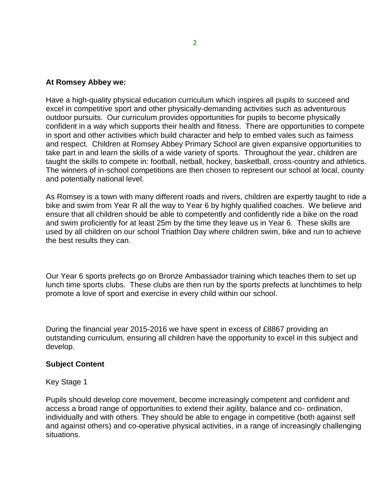## **At Romsey Abbey we:**

Have a high-quality physical education curriculum which inspires all pupils to succeed and excel in competitive sport and other physically-demanding activities such as adventurous outdoor pursuits. Our curriculum provides opportunities for pupils to become physically confident in a way which supports their health and fitness. There are opportunities to compete in sport and other activities which build character and help to embed vales such as fairness and respect. Children at Romsey Abbey Primary School are given expansive opportunities to take part in and learn the skills of a wide variety of sports. Throughout the year, children are taught the skills to compete in: football, netball, hockey, basketball, cross-country and athletics. The winners of in-school competitions are then chosen to represent our school at local, county and potentially national level.

As Romsey is a town with many different roads and rivers, children are expertly taught to ride a bike and swim from Year R all the way to Year 6 by highly qualified coaches. We believe and ensure that all children should be able to competently and confidently ride a bike on the road and swim proficiently for at least 25m by the time they leave us in Year 6. These skills are used by all children on our school Triathlon Day where children swim, bike and run to achieve the best results they can.

Our Year 6 sports prefects go on Bronze Ambassador training which teaches them to set up lunch time sports clubs. These clubs are then run by the sports prefects at lunchtimes to help promote a love of sport and exercise in every child within our school.

During the financial year 2015-2016 we have spent in excess of £8867 providing an outstanding curriculum, ensuring all children have the opportunity to excel in this subject and develop.

### **Subject Content**

### Key Stage 1

Pupils should develop core movement, become increasingly competent and confident and access a broad range of opportunities to extend their agility, balance and co- ordination, individually and with others. They should be able to engage in competitive (both against self and against others) and co-operative physical activities, in a range of increasingly challenging situations.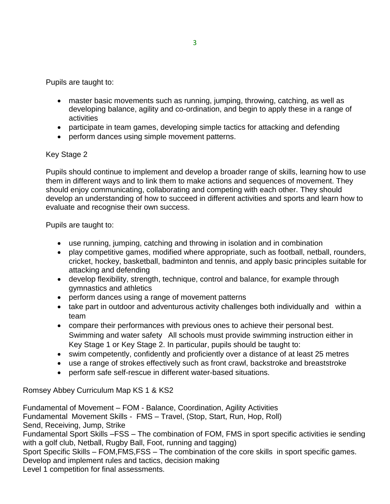Pupils are taught to:

- master basic movements such as running, jumping, throwing, catching, as well as developing balance, agility and co-ordination, and begin to apply these in a range of activities
- participate in team games, developing simple tactics for attacking and defending
- perform dances using simple movement patterns.

# Key Stage 2

Pupils should continue to implement and develop a broader range of skills, learning how to use them in different ways and to link them to make actions and sequences of movement. They should enjoy communicating, collaborating and competing with each other. They should develop an understanding of how to succeed in different activities and sports and learn how to evaluate and recognise their own success.

Pupils are taught to:

- use running, jumping, catching and throwing in isolation and in combination
- play competitive games, modified where appropriate, such as football, netball, rounders, cricket, hockey, basketball, badminton and tennis, and apply basic principles suitable for attacking and defending
- develop flexibility, strength, technique, control and balance, for example through gymnastics and athletics
- perform dances using a range of movement patterns
- take part in outdoor and adventurous activity challenges both individually and within a team
- compare their performances with previous ones to achieve their personal best. Swimming and water safety All schools must provide swimming instruction either in Key Stage 1 or Key Stage 2. In particular, pupils should be taught to:
- swim competently, confidently and proficiently over a distance of at least 25 metres
- use a range of strokes effectively such as front crawl, backstroke and breaststroke
- perform safe self-rescue in different water-based situations.

Romsey Abbey Curriculum Map KS 1 & KS2

Fundamental of Movement – FOM - Balance, Coordination, Agility Activities Fundamental Movement Skills - FMS – Travel, (Stop, Start, Run, Hop, Roll) Send, Receiving, Jump, Strike Fundamental Sport Skills –FSS – The combination of FOM, FMS in sport specific activities ie sending

with a golf club, Netball, Rugby Ball, Foot, running and tagging)

Sport Specific Skills – FOM,FMS,FSS – The combination of the core skills in sport specific games. Develop and implement rules and tactics, decision making

Level 1 competition for final assessments.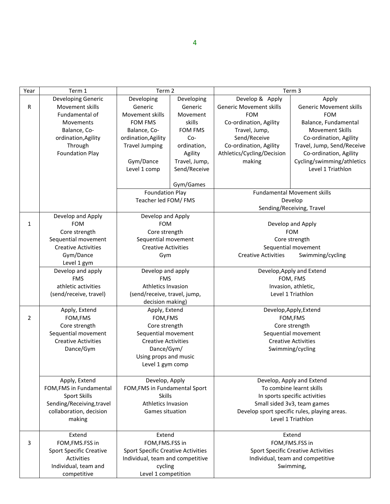| Year           | Term 1                               | Term 2                                    |                | Term 3                         |                                              |
|----------------|--------------------------------------|-------------------------------------------|----------------|--------------------------------|----------------------------------------------|
|                | Developing Generic                   | Developing<br>Developing                  |                | Develop & Apply                | Apply                                        |
| R              | Movement skills                      | Generic                                   | Generic        | <b>Generic Movement skills</b> | <b>Generic Movement skills</b>               |
|                | Fundamental of                       | Movement skills                           | Movement       | <b>FOM</b>                     | <b>FOM</b>                                   |
|                | Movements                            | <b>FOM FMS</b>                            | skills         | Co-ordination, Agility         | Balance, Fundamental                         |
|                | Balance, Co-                         | Balance, Co-                              | <b>FOM FMS</b> | Travel, Jump,                  | <b>Movement Skills</b>                       |
|                | ordination, Agility                  | ordination, Agility                       | Co-            | Send/Receive                   | Co-ordination, Agility                       |
|                | Through                              | <b>Travel Jumping</b>                     | ordination,    | Co-ordination, Agility         | Travel, Jump, Send/Receive                   |
|                | <b>Foundation Play</b>               |                                           | Agility        | Athletics/Cycling/Decision     | Co-ordination, Agility                       |
|                |                                      | Gym/Dance                                 | Travel, Jump,  | making                         | Cycling/swimming/athletics                   |
|                |                                      | Level 1 comp                              | Send/Receive   |                                | Level 1 Triathlon                            |
|                |                                      |                                           |                |                                |                                              |
|                |                                      |                                           | Gym/Games      |                                |                                              |
|                |                                      | <b>Foundation Play</b>                    |                |                                | <b>Fundamental Movement skills</b>           |
|                |                                      | Teacher led FOM/FMS                       |                |                                | Develop                                      |
|                |                                      |                                           |                |                                | Sending/Receiving, Travel                    |
|                | Develop and Apply                    | Develop and Apply                         |                |                                |                                              |
| 1              | <b>FOM</b>                           | <b>FOM</b>                                |                |                                | Develop and Apply                            |
|                | Core strength                        | Core strength                             |                |                                | <b>FOM</b>                                   |
|                | Sequential movement                  | Sequential movement                       |                |                                | Core strength                                |
|                | <b>Creative Activities</b>           | <b>Creative Activities</b>                |                |                                | Sequential movement                          |
|                | Gym/Dance                            | Gym                                       |                | <b>Creative Activities</b>     | Swimming/cycling                             |
|                | Level 1 gym                          |                                           |                |                                |                                              |
|                | Develop and apply                    | Develop and apply                         |                |                                | Develop, Apply and Extend                    |
|                | <b>FMS</b>                           | <b>FMS</b>                                |                |                                | FOM, FMS                                     |
|                | athletic activities                  | <b>Athletics Invasion</b>                 |                |                                | Invasion, athletic,                          |
|                | (send/receive, travel)               | (send/receive, travel, jump,              |                |                                | Level 1 Triathlon                            |
|                |                                      | decision making)                          |                |                                |                                              |
| $\overline{2}$ | Apply, Extend                        | Apply, Extend<br>FOM, FMS                 |                |                                | Develop, Apply, Extend                       |
|                | FOM, FMS                             |                                           |                | FOM, FMS<br>Core strength      |                                              |
|                | Core strength<br>Sequential movement | Core strength<br>Sequential movement      |                |                                | Sequential movement                          |
|                | <b>Creative Activities</b>           | <b>Creative Activities</b>                |                |                                | <b>Creative Activities</b>                   |
|                | Dance/Gym                            | Dance/Gym/                                |                |                                | Swimming/cycling                             |
|                |                                      | Using props and music                     |                |                                |                                              |
|                |                                      | Level 1 gym comp                          |                |                                |                                              |
|                |                                      |                                           |                |                                |                                              |
|                | Apply, Extend                        | Develop, Apply                            |                |                                | Develop, Apply and Extend                    |
|                | FOM, FMS in Fundamental              | FOM, FMS in Fundamental Sport             |                |                                | To combine learnt skills                     |
|                | <b>Sport Skills</b>                  | <b>Skills</b>                             |                |                                | In sports specific activities                |
|                | Sending/Receiving, travel            | <b>Athletics Invasion</b>                 |                |                                | Small sided 3v3, team games                  |
|                | collaboration, decision              | Games situation                           |                |                                | Develop sport specific rules, playing areas. |
|                | making                               |                                           |                |                                | Level 1 Triathlon                            |
|                |                                      |                                           |                |                                |                                              |
|                | Extend                               | Extend                                    |                |                                | Extend                                       |
| 3              | FOM, FMS. FSS in                     | FOM, FMS. FSS in                          |                |                                | FOM, FMS. FSS in                             |
|                | <b>Sport Specific Creative</b>       | <b>Sport Specific Creative Activities</b> |                |                                | <b>Sport Specific Creative Activities</b>    |
|                | Activities                           | Individual, team and competitive          |                |                                | Individual, team and competitive             |
|                | Individual, team and                 | cycling                                   |                |                                | Swimming,                                    |
|                | competitive                          | Level 1 competition                       |                |                                |                                              |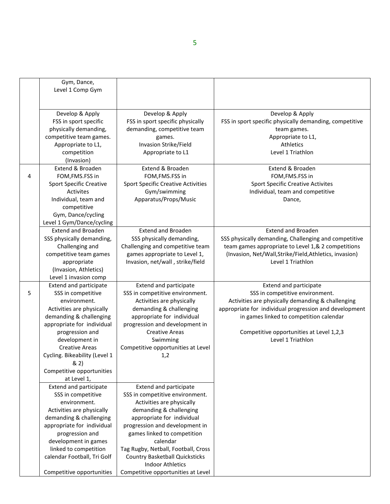|   | Gym, Dance,                    |                                           |                                                         |
|---|--------------------------------|-------------------------------------------|---------------------------------------------------------|
|   | Level 1 Comp Gym               |                                           |                                                         |
|   |                                |                                           |                                                         |
|   |                                |                                           |                                                         |
|   | Develop & Apply                | Develop & Apply                           | Develop & Apply                                         |
|   | FSS in sport specific          | FSS in sport specific physically          | FSS in sport specific physically demanding, competitive |
|   | physically demanding,          | demanding, competitive team               | team games.                                             |
|   | competitive team games.        | games.                                    | Appropriate to L1,                                      |
|   | Appropriate to L1,             | Invasion Strike/Field                     | <b>Athletics</b>                                        |
|   | competition                    | Appropriate to L1                         | Level 1 Triathlon                                       |
|   | (Invasion)                     |                                           |                                                         |
|   | Extend & Broaden               | Extend & Broaden                          | <b>Extend &amp; Broaden</b>                             |
| 4 | FOM, FMS. FSS in               | FOM, FMS. FSS in                          | FOM, FMS. FSS in                                        |
|   | <b>Sport Specific Creative</b> | <b>Sport Specific Creative Activities</b> | <b>Sport Specific Creative Activites</b>                |
|   | Activites                      |                                           |                                                         |
|   |                                | Gym/swimming                              | Individual, team and competitive                        |
|   | Individual, team and           | Apparatus/Props/Music                     | Dance,                                                  |
|   | competitive                    |                                           |                                                         |
|   | Gym, Dance/cycling             |                                           |                                                         |
|   | Level 1 Gym/Dance/cycling      |                                           |                                                         |
|   | <b>Extend and Broaden</b>      | <b>Extend and Broaden</b>                 | <b>Extend and Broaden</b>                               |
|   | SSS physically demanding,      | SSS physically demanding,                 | SSS physically demanding, Challenging and competitive   |
|   | Challenging and                | Challenging and competitive team          | team games appropriate to Level 1,& 2 competitions      |
|   | competitive team games         | games appropriate to Level 1,             | (Invasion, Net/Wall,Strike/Field,Athletics, invasion)   |
|   | appropriate                    | Invasion, net/wall, strike/field          | Level 1 Triathlon                                       |
|   | (Invasion, Athletics)          |                                           |                                                         |
|   | Level 1 invasion comp          |                                           |                                                         |
|   | Extend and participate         | <b>Extend and participate</b>             | <b>Extend and participate</b>                           |
| 5 | SSS in competitive             | SSS in competitive environment.           | SSS in competitive environment.                         |
|   | environment.                   | Activities are physically                 | Activities are physically demanding & challenging       |
|   | Activities are physically      | demanding & challenging                   | appropriate for individual progression and development  |
|   | demanding & challenging        | appropriate for individual                | in games linked to competition calendar                 |
|   | appropriate for individual     | progression and development in            |                                                         |
|   | progression and                | <b>Creative Areas</b>                     | Competitive opportunities at Level 1,2,3                |
|   | development in                 | Swimming                                  | Level 1 Triathlon                                       |
|   | <b>Creative Areas</b>          | Competitive opportunities at Level        |                                                         |
|   | Cycling. Bikeability (Level 1  | 1,2                                       |                                                         |
|   | & 2)                           |                                           |                                                         |
|   | Competitive opportunities      |                                           |                                                         |
|   | at Level 1,                    |                                           |                                                         |
|   | Extend and participate         | <b>Extend and participate</b>             |                                                         |
|   | SSS in competitive             | SSS in competitive environment.           |                                                         |
|   | environment.                   | Activities are physically                 |                                                         |
|   | Activities are physically      | demanding & challenging                   |                                                         |
|   | demanding & challenging        | appropriate for individual                |                                                         |
|   | appropriate for individual     | progression and development in            |                                                         |
|   | progression and                | games linked to competition               |                                                         |
|   | development in games           | calendar                                  |                                                         |
|   | linked to competition          | Tag Rugby, Netball, Football, Cross       |                                                         |
|   | calendar Football, Tri Golf    | <b>Country Basketball Quicksticks</b>     |                                                         |
|   |                                | <b>Indoor Athletics</b>                   |                                                         |
|   | Competitive opportunities      | Competitive opportunities at Level        |                                                         |